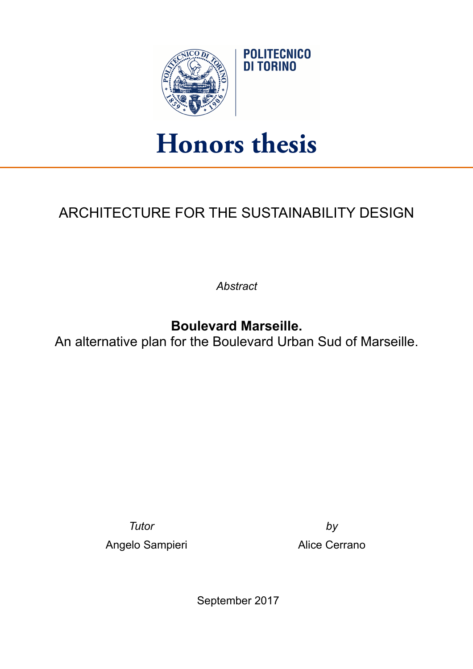

## **Honors thesis**

## ARCHITECTURE FOR THE SUSTAINABILITY DESIGN

*Abstract* 

**Boulevard Marseille.** 

An alternative plan for the Boulevard Urban Sud of Marseille.

*Tutor by*

Angelo Sampieri **Alice Cerrano** 

September 2017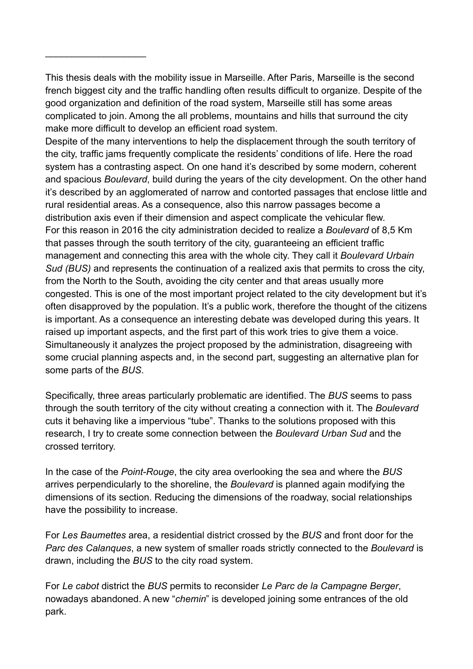This thesis deals with the mobility issue in Marseille. After Paris, Marseille is the second french biggest city and the traffic handling often results difficult to organize. Despite of the good organization and definition of the road system, Marseille still has some areas complicated to join. Among the all problems, mountains and hills that surround the city make more difficult to develop an efficient road system.

 $\frac{1}{2}$  ,  $\frac{1}{2}$  ,  $\frac{1}{2}$  ,  $\frac{1}{2}$  ,  $\frac{1}{2}$  ,  $\frac{1}{2}$  ,  $\frac{1}{2}$  ,  $\frac{1}{2}$  ,  $\frac{1}{2}$  ,  $\frac{1}{2}$ 

Despite of the many interventions to help the displacement through the south territory of the city, traffic jams frequently complicate the residents' conditions of life. Here the road system has a contrasting aspect. On one hand it's described by some modern, coherent and spacious *Boulevard*, build during the years of the city development. On the other hand it's described by an agglomerated of narrow and contorted passages that enclose little and rural residential areas. As a consequence, also this narrow passages become a distribution axis even if their dimension and aspect complicate the vehicular flew. For this reason in 2016 the city administration decided to realize a *Boulevard* of 8,5 Km that passes through the south territory of the city, guaranteeing an efficient traffic management and connecting this area with the whole city. They call it *Boulevard Urbain Sud (BUS)* and represents the continuation of a realized axis that permits to cross the city, from the North to the South, avoiding the city center and that areas usually more congested. This is one of the most important project related to the city development but it's often disapproved by the population. It's a public work, therefore the thought of the citizens is important. As a consequence an interesting debate was developed during this years. It raised up important aspects, and the first part of this work tries to give them a voice. Simultaneously it analyzes the project proposed by the administration, disagreeing with some crucial planning aspects and, in the second part, suggesting an alternative plan for some parts of the *BUS*.

Specifically, three areas particularly problematic are identified. The *BUS* seems to pass through the south territory of the city without creating a connection with it. The *Boulevard* cuts it behaving like a impervious "tube". Thanks to the solutions proposed with this research, I try to create some connection between the *Boulevard Urban Sud* and the crossed territory.

In the case of the *Point-Rouge*, the city area overlooking the sea and where the *BUS* arrives perpendicularly to the shoreline, the *Boulevard* is planned again modifying the dimensions of its section. Reducing the dimensions of the roadway, social relationships have the possibility to increase.

For *Les Baumettes* area, a residential district crossed by the *BUS* and front door for the *Parc des Calanques*, a new system of smaller roads strictly connected to the *Boulevard* is drawn, including the *BUS* to the city road system.

For *Le cabot* district the *BUS* permits to reconsider *Le Parc de la Campagne Berger*, nowadays abandoned. A new "*chemin*" is developed joining some entrances of the old park.